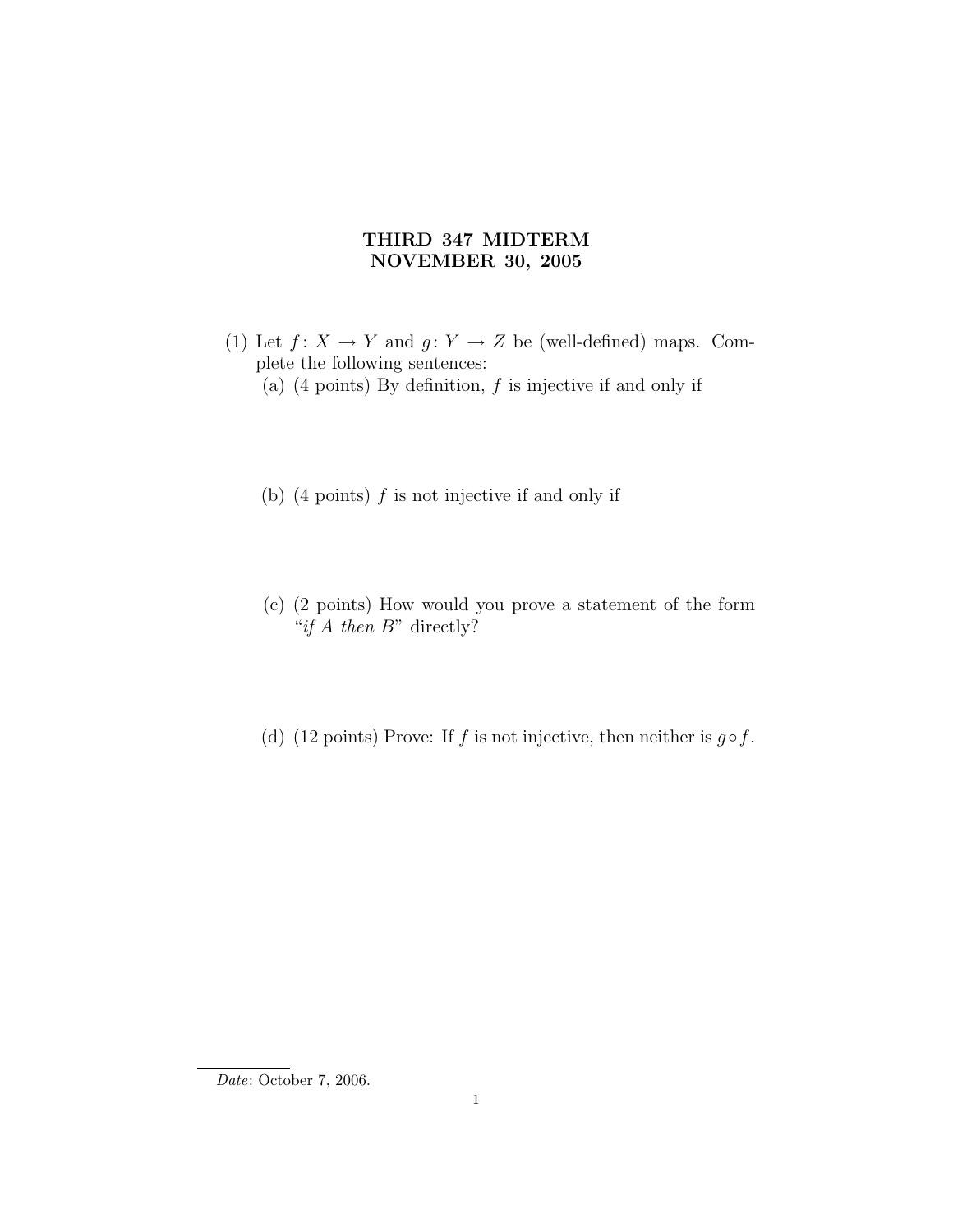## THIRD 347 MIDTERM NOVEMBER 30, 2005

- (1) Let  $f: X \to Y$  and  $g: Y \to Z$  be (well-defined) maps. Complete the following sentences:
	- (a)  $(4 \text{ points})$  By definition,  $f$  is injective if and only if
	- (b)  $(4 \text{ points})$  f is not injective if and only if
	- (c) (2 points) How would you prove a statement of the form "if  $A$  then  $B$ " directly?
	- (d) (12 points) Prove: If f is not injective, then neither is  $g \circ f$ .

Date: October 7, 2006.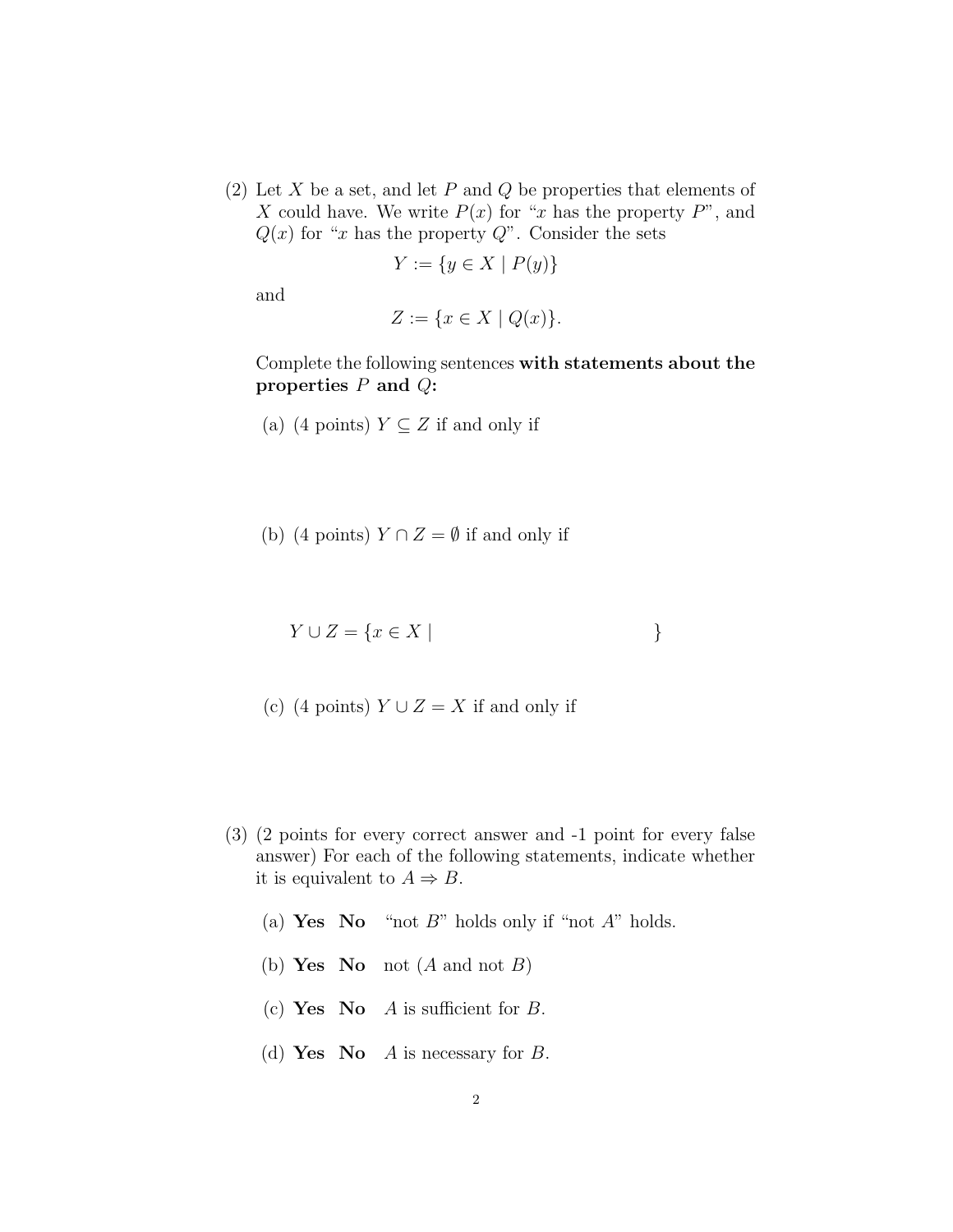(2) Let X be a set, and let P and Q be properties that elements of X could have. We write  $P(x)$  for "x has the property P", and  $Q(x)$  for "x has the property Q". Consider the sets

$$
Y := \{ y \in X \mid P(y) \}
$$

and

$$
Z := \{ x \in X \mid Q(x) \}.
$$

Complete the following sentences with statements about the properties  $P$  and  $Q$ :

- (a) (4 points)  $Y \subseteq Z$  if and only if
- (b) (4 points)  $Y \cap Z = \emptyset$  if and only if
	- $Y \cup Z = \{x \in X \mid \}$
- (c) (4 points)  $Y \cup Z = X$  if and only if
- (3) (2 points for every correct answer and -1 point for every false answer) For each of the following statements, indicate whether it is equivalent to  $A \Rightarrow B$ .
	- (a) Yes No "not  $B$ " holds only if "not  $A$ " holds.
	- (b) Yes No not  $(A \text{ and not } B)$
	- (c) Yes No A is sufficient for B.
	- (d) Yes No A is necessary for B.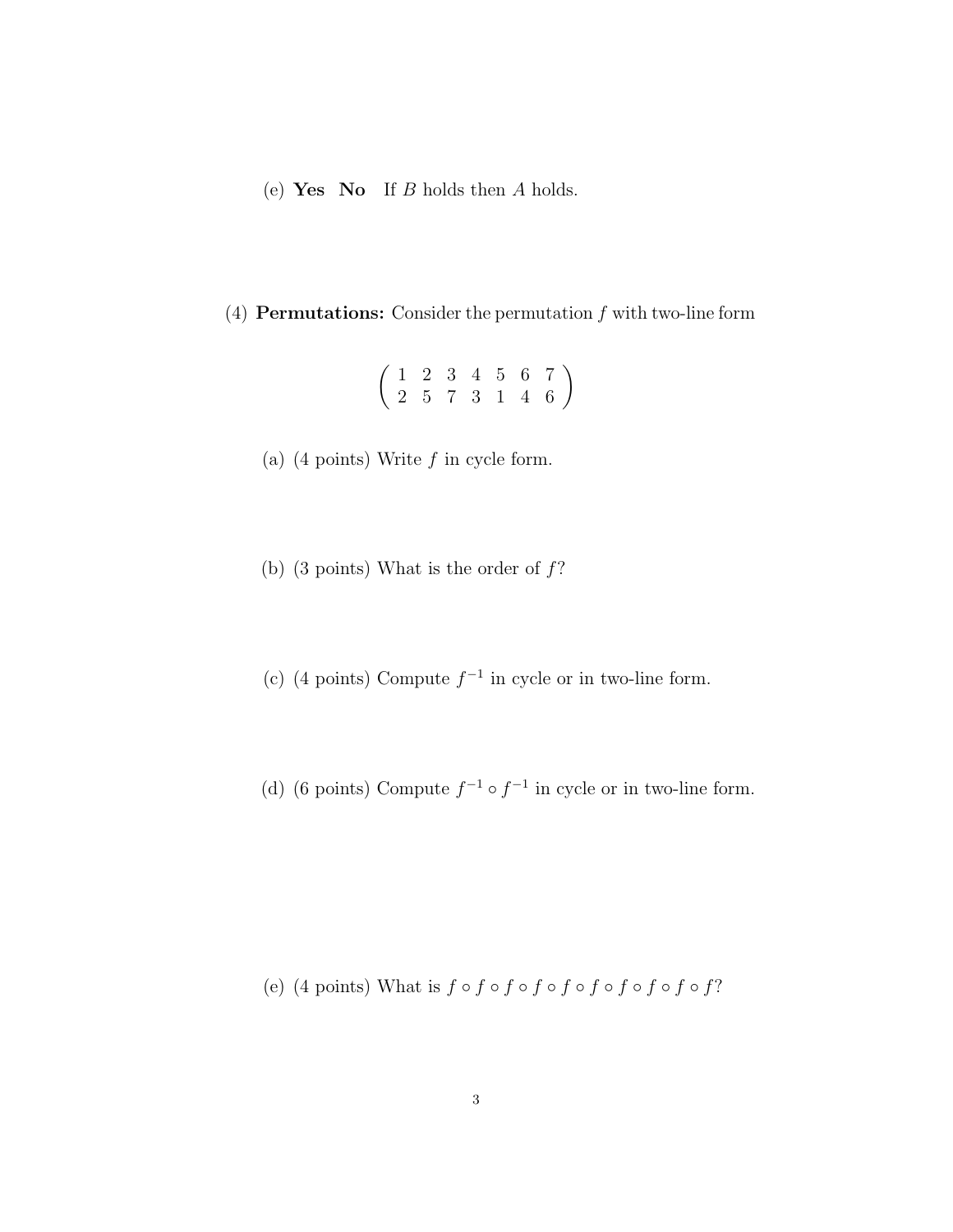(e) Yes No If  $B$  holds then  $A$  holds.

## (4) **Permutations:** Consider the permutation  $f$  with two-line form

$$
\left(\begin{array}{cccccc} 1 & 2 & 3 & 4 & 5 & 6 & 7 \\ 2 & 5 & 7 & 3 & 1 & 4 & 6 \end{array}\right)
$$

- (a)  $(4 \text{ points})$  Write  $f$  in cycle form.
- (b) (3 points) What is the order of  $f$ ?
- (c) (4 points) Compute  $f^{-1}$  in cycle or in two-line form.
- (d) (6 points) Compute  $f^{-1} \circ f^{-1}$  in cycle or in two-line form.

(e) (4 points) What is  $f \circ f \circ f \circ f \circ f \circ f \circ f \circ f \circ f$ ?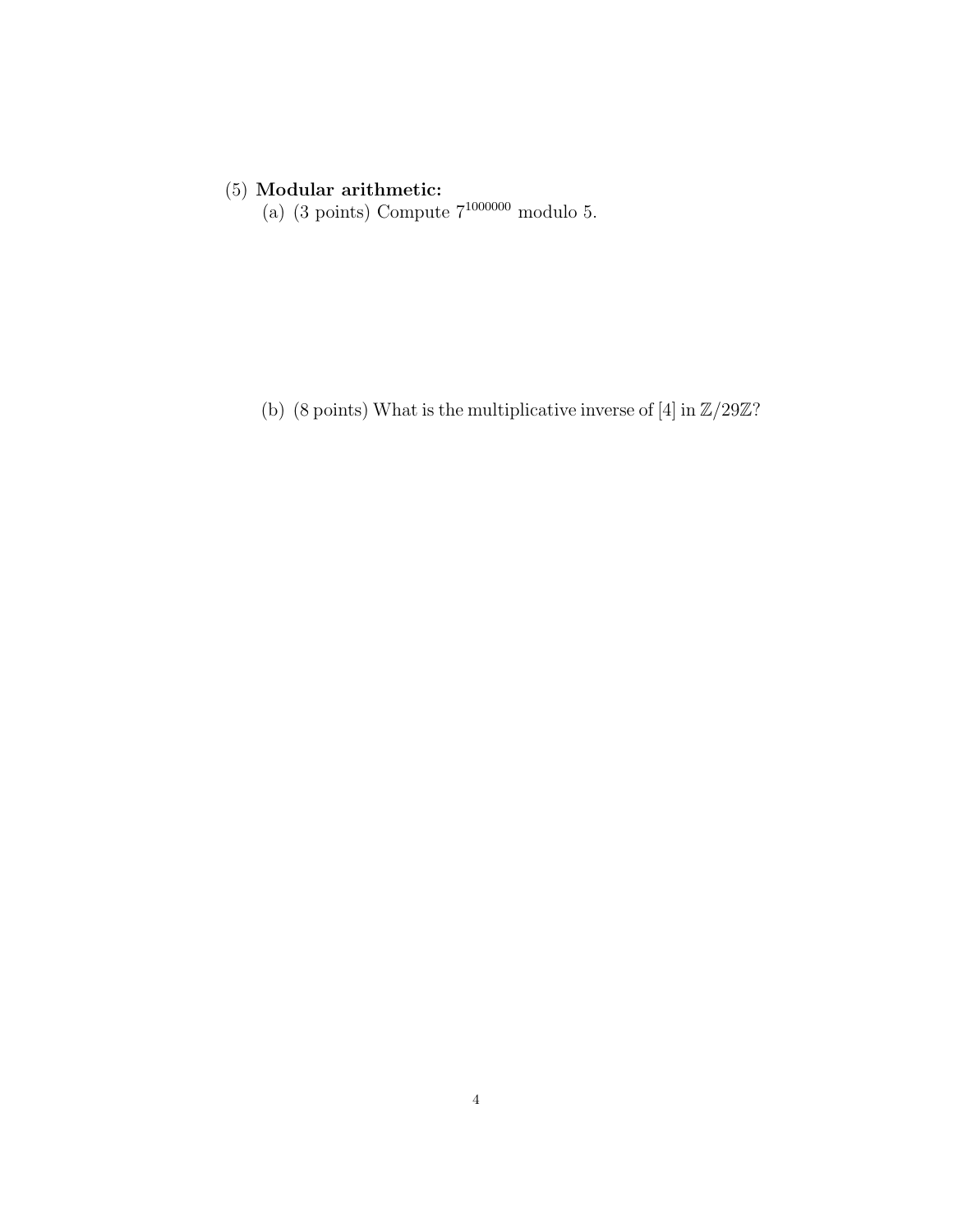## (5) Modular arithmetic:

(a) (3 points) Compute  $7^{1000000}$  modulo 5.

(b) (8 points) What is the multiplicative inverse of [4] in  $\mathbb{Z}/29\mathbb{Z}?$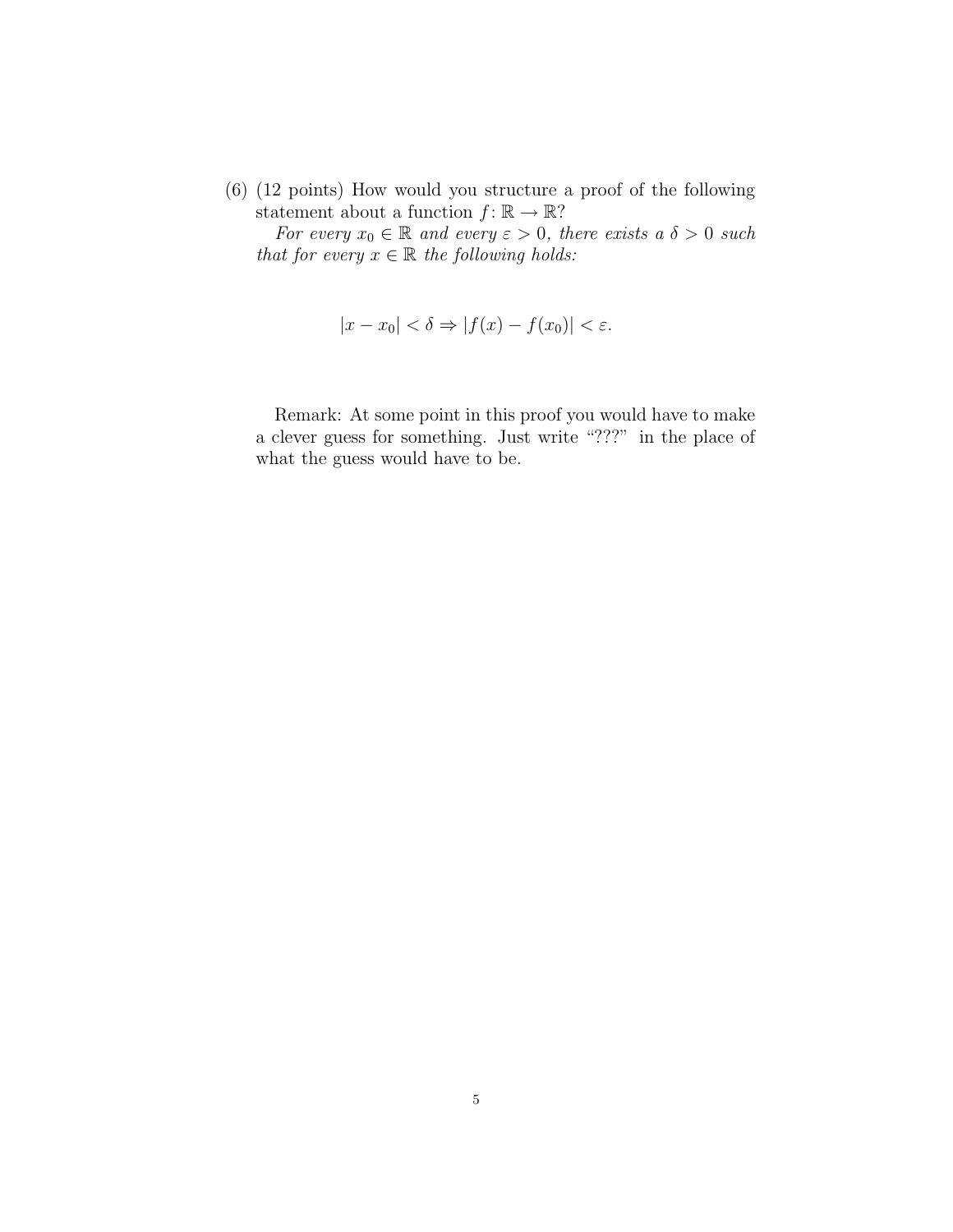(6) (12 points) How would you structure a proof of the following statement about a function  $f: \mathbb{R} \to \mathbb{R}$ ?

For every  $x_0 \in \mathbb{R}$  and every  $\varepsilon > 0$ , there exists a  $\delta > 0$  such that for every  $x \in \mathbb{R}$  the following holds:

$$
|x - x_0| < \delta \Rightarrow |f(x) - f(x_0)| < \varepsilon.
$$

Remark: At some point in this proof you would have to make a clever guess for something. Just write "???" in the place of what the guess would have to be.